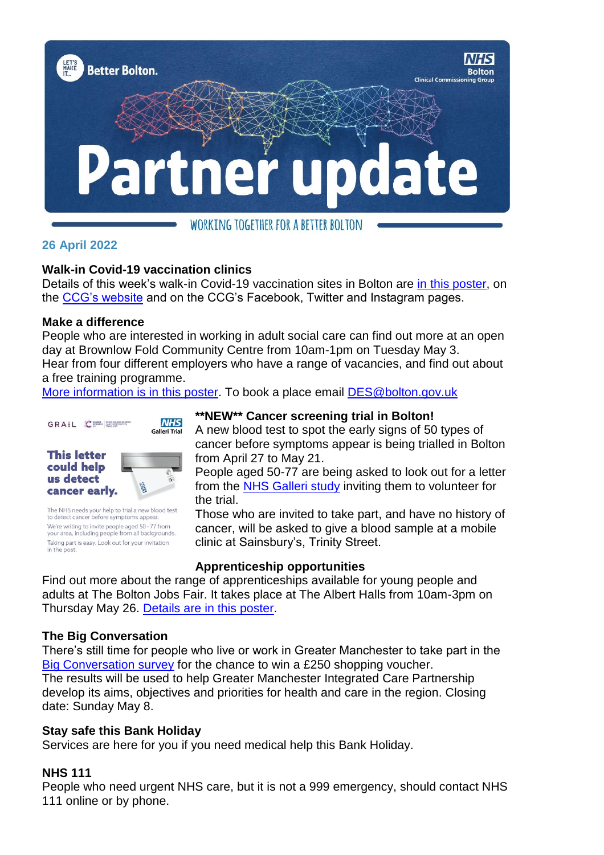

# WORKING TOGETHER FOR A BETTER BOLTON

## **26 April 2022**

#### **Walk-in Covid-19 vaccination clinics**

Details of this week's walk-in Covid-19 vaccination sites in Bolton are [in this poster,](https://www.boltonccg.nhs.uk/media/8071/vaccs_sites-22-1may.pdf) on the [CCG's website](https://www.boltonccg.nhs.uk/patient-zone/coronavirus) and on the CCG's Facebook, Twitter and Instagram pages.

#### **Make a difference**

People who are interested in working in adult social care can find out more at an open day at Brownlow Fold Community Centre from 10am-1pm on Tuesday May 3. Hear from four different employers who have a range of vacancies, and find out about a free training programme.

[More information is in this poster.](https://www.boltonccg.nhs.uk/media/8069/find-out-about-adult-social-care-employer-open-day-3-may.pdf) To book a place email [DES@bolton.gov.uk](mailto:DES@bolton.gov.uk)



The NHS needs your help to trial a new blood test to detect cancer before symptoms appear We're writing to invite people aged 50-77 from<br>your area, including people from all backgrounds. Taking part is easy. Look out for your invitation in the post

## **\*\*NEW\*\* Cancer screening trial in Bolton!**

A new blood test to spot the early signs of 50 types of cancer before symptoms appear is being trialled in Bolton from April 27 to May 21.

People aged 50-77 are being asked to look out for a letter from the [NHS Galleri study](www,nhs-galleri.org) inviting them to volunteer for the trial.

Those who are invited to take part, and have no history of cancer, will be asked to give a blood sample at a mobile clinic at Sainsbury's, Trinity Street.

#### **Apprenticeship opportunities**

Find out more about the range of apprenticeships available for young people and adults at The Bolton Jobs Fair. It takes place at The Albert Halls from 10am-3pm on Thursday May 26. [Details are in this poster.](https://www.boltonccg.nhs.uk/media/8070/job-fair-a4-v2.pdf)

# **The Big Conversation**

There's still time for people who live or work in Greater Manchester to take part in the [Big Conversation survey](https://www.gmhsc.org.uk/event/the-big-conversation/) for the chance to win a £250 shopping voucher. The results will be used to help Greater Manchester Integrated Care Partnership develop its aims, objectives and priorities for health and care in the region. Closing date: Sunday May 8.

#### **Stay safe this Bank Holiday**

Services are here for you if you need medical help this Bank Holiday.

#### **NHS 111**

People who need urgent NHS care, but it is not a 999 emergency, should contact NHS 111 online or by phone.